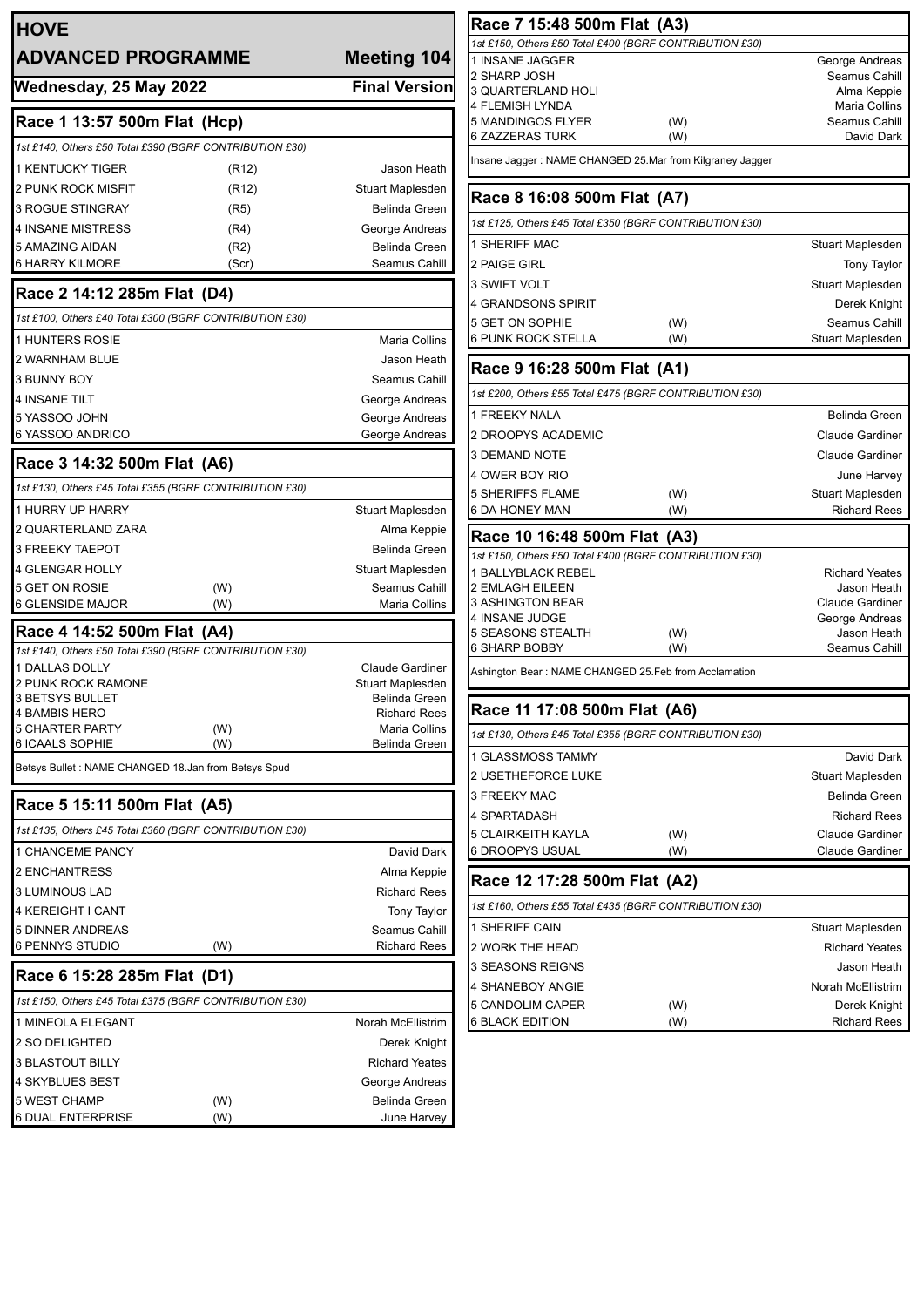| <b>HOVE</b>                                             |               |                                       | Race 7 15:48                             |
|---------------------------------------------------------|---------------|---------------------------------------|------------------------------------------|
| <b>ADVANCED PROGRAMME</b>                               |               | Meeting 104                           | 1st £150, Others £50<br>1 INSANE JAGGEI  |
| Wednesday, 25 May 2022                                  |               | <b>Final Version</b>                  | 2 SHARP JOSH                             |
|                                                         |               |                                       | 3 QUARTERLAND<br>4 FLEMISH LYNDA         |
| Race 1 13:57 500m Flat (Hcp)                            |               |                                       | 5 MANDINGOS FL                           |
| 1st £140, Others £50 Total £390 (BGRF CONTRIBUTION £30) |               |                                       | <b>6 ZAZZERAS TUR</b>                    |
| <b>1 KENTUCKY TIGER</b>                                 | (R12)         | Jason Heath                           | Insane Jagger : NAM                      |
| 2 PUNK ROCK MISFIT                                      | (R12)         | Stuart Maplesden                      | Race 8 16:08                             |
| <b>3 ROGUE STINGRAY</b>                                 | (R5)          | <b>Belinda Green</b>                  |                                          |
| <b>4 INSANE MISTRESS</b>                                | (R4)          | George Andreas                        | 1st £125. Others £45                     |
| 5 AMAZING AIDAN<br><b>6 HARRY KILMORE</b>               | (R2)<br>(Scr) | Belinda Green<br>Seamus Cahill        | 1 SHERIFF MAC<br>2 PAIGE GIRL            |
|                                                         |               |                                       | 3 SWIFT VOLT                             |
| Race 2 14:12 285m Flat (D4)                             |               |                                       | 4 GRANDSONS SI                           |
| 1st £100, Others £40 Total £300 (BGRF CONTRIBUTION £30) |               |                                       | 5 GET ON SOPHIE                          |
| 1 HUNTERS ROSIE                                         |               | Maria Collins                         | 6 PUNK ROCK ST                           |
| 2 WARNHAM BLUE                                          |               | Jason Heath                           | Race 9 16:28                             |
| 3 BUNNY BOY                                             |               | Seamus Cahill                         |                                          |
| <b>4 INSANE TILT</b>                                    |               | George Andreas                        | 1st £200, Others £55                     |
| 5 YASSOO JOHN                                           |               | George Andreas                        | 1 FREEKY NALA                            |
| 6 YASSOO ANDRICO                                        |               | George Andreas                        | 2 DROOPYS ACAI                           |
| Race 3 14:32 500m Flat (A6)                             |               |                                       | 3 DEMAND NOTE                            |
| 1st £130, Others £45 Total £355 (BGRF CONTRIBUTION £30) |               |                                       | 4 OWER BOY RIO<br><b>5 SHERIFFS FLAN</b> |
| 1 HURRY UP HARRY                                        |               | Stuart Maplesden                      | 6 DA HONEY MAN                           |
| 2 QUARTERLAND ZARA                                      |               | Alma Keppie                           | Race 10 16:4                             |
| 3 FREEKY TAEPOT                                         |               | Belinda Green                         | 1st £150, Others £50                     |
| <b>4 GLENGAR HOLLY</b>                                  |               | Stuart Maplesden                      | 1 BALLYBLACK RI                          |
| 5 GET ON ROSIE                                          | (W)           | Seamus Cahill                         | 2 EMLAGH EILEEI                          |
| 6 GLENSIDE MAJOR                                        | (W)           | Maria Collins                         | 3 ASHINGTON BE<br>4 INSANE JUDGE         |
| Race 4 14:52 500m Flat (A4)                             |               |                                       | 5 SEASONS STEA                           |
| 1st £140, Others £50 Total £390 (BGRF CONTRIBUTION £30) |               |                                       | 6 SHARP BOBBY                            |
| 1 DALLAS DOLLY<br>2 PUNK ROCK RAMONE                    |               | Claude Gardiner<br>Stuart Maplesden   | Ashington Bear: NAM                      |
| 3 BETSYS BULLET                                         |               | Belinda Green                         | ┍                                        |
| <b>4 BAMBIS HERO</b>                                    |               | <b>Richard Rees</b>                   | Race 11 17:0                             |
| 5 CHARTER PARTY<br>6 ICAALS SOPHIE                      | (W)<br>(W)    | <b>Maria Collins</b><br>Belinda Green | 1st £130, Others £45                     |
| Betsys Bullet: NAME CHANGED 18.Jan from Betsys Spud     |               |                                       | 1 GLASSMOSS TA                           |
|                                                         |               |                                       | <b>2 USETHEFORCE</b>                     |
| Race 5 15:11 500m Flat (A5)                             |               |                                       | 3 FREEKY MAC                             |
| 1st £135, Others £45 Total £360 (BGRF CONTRIBUTION £30) |               |                                       | 4 SPARTADASH<br>5 CLAIRKEITH KAT         |
| 1 CHANCEME PANCY                                        |               | David Dark                            | 6 DROOPYS USU                            |
| 2 ENCHANTRESS                                           |               | Alma Keppie                           |                                          |
| 3 LUMINOUS LAD                                          |               | <b>Richard Rees</b>                   | Race 12 17:2                             |
| 4 KEREIGHT I CANT                                       |               | Tony Taylor                           | 1st £160, Others £55                     |
| <b>5 DINNER ANDREAS</b>                                 |               | Seamus Cahill                         | 1 SHERIFF CAIN                           |
| 6 PENNYS STUDIO                                         | (W)           | <b>Richard Rees</b>                   | 2 WORK THE HEA                           |
| Race 6 15:28 285m Flat (D1)                             |               |                                       | 3 SEASONS REIG                           |
| 1st £150, Others £45 Total £375 (BGRF CONTRIBUTION £30) |               |                                       | 4 SHANEBOY ANO                           |
| 1 MINEOLA ELEGANT                                       |               | Norah McEllistrim                     | 5 CANDOLIM CAP<br><b>6 BLACK EDITION</b> |
| 2 SO DELIGHTED                                          |               | Derek Knight                          |                                          |
| 3 BLASTOUT BILLY                                        |               | <b>Richard Yeates</b>                 |                                          |
| 4 SKYBLUES BEST                                         |               | George Andreas                        |                                          |
| 5 WEST CHAMP                                            | (W)           | Belinda Green                         |                                          |
| 6 DUAL ENTERPRISE                                       | (W)           | June Harvey                           |                                          |

| Race 7 15:48 500m Flat (A3)                               |     |                                |
|-----------------------------------------------------------|-----|--------------------------------|
| 1st £150, Others £50 Total £400 (BGRF CONTRIBUTION £30)   |     |                                |
| 1 INSANE JAGGER                                           |     | George Andreas                 |
| 2 SHARP JOSH                                              |     | Seamus Cahill                  |
| 3 QUARTERLAND HOLI                                        |     | Alma Keppie                    |
| 4 FLEMISH LYNDA<br>5 MANDINGOS FLYER                      | (W) | Maria Collins<br>Seamus Cahill |
| 6 ZAZZERAS TURK                                           | (W) | David Dark                     |
| Insane Jagger : NAME CHANGED 25.Mar from Kilgraney Jagger |     |                                |
|                                                           |     |                                |
| Race 8 16:08 500m Flat (A7)                               |     |                                |
| 1st £125, Others £45 Total £350 (BGRF CONTRIBUTION £30)   |     |                                |
| <b>1 SHERIFF MAC</b>                                      |     | Stuart Maplesden               |
| 2 PAIGE GIRL                                              |     | <b>Tony Taylor</b>             |
| 3 SWIFT VOLT                                              |     | Stuart Maplesden               |
| 4 GRANDSONS SPIRIT                                        |     | Derek Knight                   |
| 5 GET ON SOPHIE                                           | (W) | Seamus Cahill                  |
| 6 PUNK ROCK STELLA                                        | (W) | Stuart Maplesden               |
| Race 9 16:28 500m Flat (A1)                               |     |                                |
| 1st £200, Others £55 Total £475 (BGRF CONTRIBUTION £30)   |     |                                |
| <b>1 FREEKY NALA</b>                                      |     | Belinda Green                  |
| 2 DROOPYS ACADEMIC                                        |     | <b>Claude Gardiner</b>         |
| 3 DEMAND NOTE                                             |     | <b>Claude Gardiner</b>         |
| 4 OWER BOY RIO                                            |     | June Harvey                    |
| 5 SHERIFFS FLAME                                          | (W) | Stuart Maplesden               |
| 6 DA HONEY MAN                                            | (W) | <b>Richard Rees</b>            |
| Race 10 16:48 500m Flat (A3)                              |     |                                |
| 1st £150, Others £50 Total £400 (BGRF CONTRIBUTION £30)   |     |                                |
| 1 BALLYBLACK REBEL                                        |     | <b>Richard Yeates</b>          |
| 2 EMLAGH EILEEN                                           |     | Jason Heath                    |
| 3 ASHINGTON BEAR<br>4 INSANE JUDGE                        |     | <b>Claude Gardiner</b>         |
| 5 SEASONS STEALTH                                         | (W) | George Andreas<br>Jason Heath  |
| 6 SHARP BOBBY                                             | (W) | Seamus Cahill                  |
| Ashington Bear : NAME CHANGED 25.Feb from Acclamation     |     |                                |
| Race 11 17:08 500m Flat (A6)                              |     |                                |
| 1st £130, Others £45 Total £355 (BGRF CONTRIBUTION £30)   |     |                                |
| 1 GLASSMOSS TAMMY                                         |     | David Dark                     |
| <b>2 USETHEFORCE LUKE</b>                                 |     | Stuart Maplesden               |
|                                                           |     |                                |
| <b>3 FREEKY MAC</b>                                       |     | Belinda Green                  |
| 4 SPARTADASH                                              |     | <b>Richard Rees</b>            |
| 5 CLAIRKEITH KAYLA                                        | (W) | <b>Claude Gardiner</b>         |
| 6 DROOPYS USUAL                                           | (W) | <b>Claude Gardiner</b>         |
| Race 12 17:28 500m Flat (A2)                              |     |                                |
| 1st £160, Others £55 Total £435 (BGRF CONTRIBUTION £30)   |     |                                |
| 1 SHERIFF CAIN                                            |     | Stuart Maplesden               |
| 2 WORK THE HEAD                                           |     | <b>Richard Yeates</b>          |
| 3 SEASONS REIGNS                                          |     | Jason Heath                    |
| 4 SHANEBOY ANGIE                                          |     | Norah McEllistrim              |
| 5 CANDOLIM CAPER                                          | (W) | Derek Knight                   |
| <b>6 BLACK EDITION</b>                                    | (W) | <b>Richard Rees</b>            |